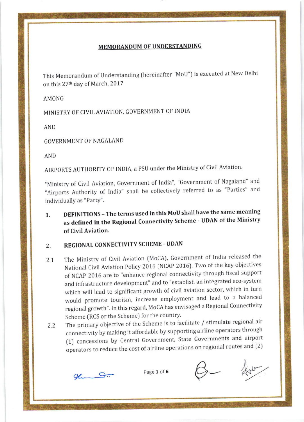## MEMORANDUM OF UNDERSTANDING

This Memorandum of Understanding (hereinafter "MoU") is executed at New Delhi on this 27<sup>th</sup> day of March, 2017

AMONG

MINISTRY OF CIVIL AVIATION, GOVERNMENT OF INDIA

AND

GOVERNMENT OF NAGALAND

AND

AIRPORTS AUTHORITY OF INDIA, a PSU under the Ministry of Civil Aviation.

"Ministry of Civil Aviation, Government of lndia", "Government of Nagaland" and "Airports Authority of lndia" shall be collectively referred to as "Parties" and individually as "Party".

1. DEFINITIONS -The terms used in this MoU shall havethe same meaning as defined in the Regional Connectivity Scheme - UDAN of the Ministry of Civil Aviation.

## 2. REGIONAL CONNECTIVITY SCHEME - UDAN

- 2.1 The Ministry of Civil Aviation (MoCA), Government of India released the National Civil Aviation Policy 2016 (NCAP 2016). Two of the key objectives of NCAP 2015 are to "enhance regional connectivity through fiscal support and infrastructure development" and to "establish an integrated eco-system which will lead to significant growth of civil aviation sector, which in turn would promote tourism, increase employment and lead to a balanced regional growth". In this regard, MoCA has envisaged a Regional Connectivity Scheme (RCS or the Scheme) for the country.
- 2.2 The primary obiective of the Scheme is to facilitate / stimulate regional air connectivity by making it affordable by supporting airline operators through (1) concessions by Central Government, State Governments and airport  $\epsilon$  operators to reduce the cost of airline operations on regional routes and (2) Fairline operations on regional routes and (2)<br>Page 1 of 6

glum g.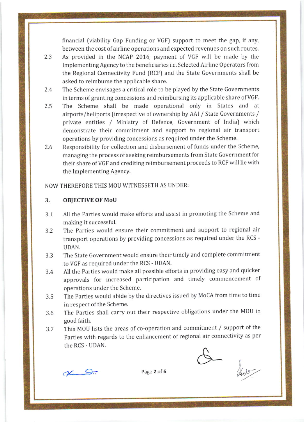financial (viability Gap Funding or VGF) support to meet the gap, if any, between the cost of airline operations and expected revenues on such routes.

- 2.3 As provided in the NCAP 2016, payment of VGF will be made by the lmplementing Agency to the beneficiaries i.e. Selected Airline Operators from the Regional Connectivity Fund (RCF) and the State Governments shall be asked to reimburse the applicable share.
- 2.4 The Scheme envisages a critical role to be played by the State Governments in terms of granting concessions and reimbursing its applicable share of VGF.
- 2.5 The Scheme shall be made operational only in States and at airports/heliports (irrespective of ownership by AAl / State Governments / private entities / Ministry of Defence, Government of India) which demonstrate their commitment and support to regional air transport operations by providing concessions as required under the Scheme.
- 2.6 Responsibility for collection and disbursement of funds under the Scheme, managing the process of seeking reimbursements from State Government for their share ofVGF and crediting reimbursement proceeds to RCF will lie with the lmplementing Agency.

NOW THEREFORE THIS MOU WITNESSETH AS UNDER:

## 3. OBJECTIVE OF MoU

- 3.1 All the Parties would make efforts and assist in promoting the Scheme and making it successful.
- 3.2 The Parties would ensure their commitment and support to regional air transport operations by providing concessions as required under the RCS - UDAN.
- 3.3 The State Government would ensure their timely and complete commitment to VGF as required under the RCS - UDAN.
- 3.4 All the Parties would make all possible efforts in providing easy and quicker approvals for increased participation and timely commencement of operations under the Scheme.
- 3.5 The Parties would abide by the directives issued by MoCA from time to time in respect of the Scheme.
- 3.6 The Parties shall carry out their respective obligations under the MOU in good faith.
- This MOU lists the areas of co-operation and commitment / support of the Parties with regards to the enhancement of regional air connectivity as per the RCS - UDAN. 3.7

 $AC$ 

Page 2 of 6  $\omega$